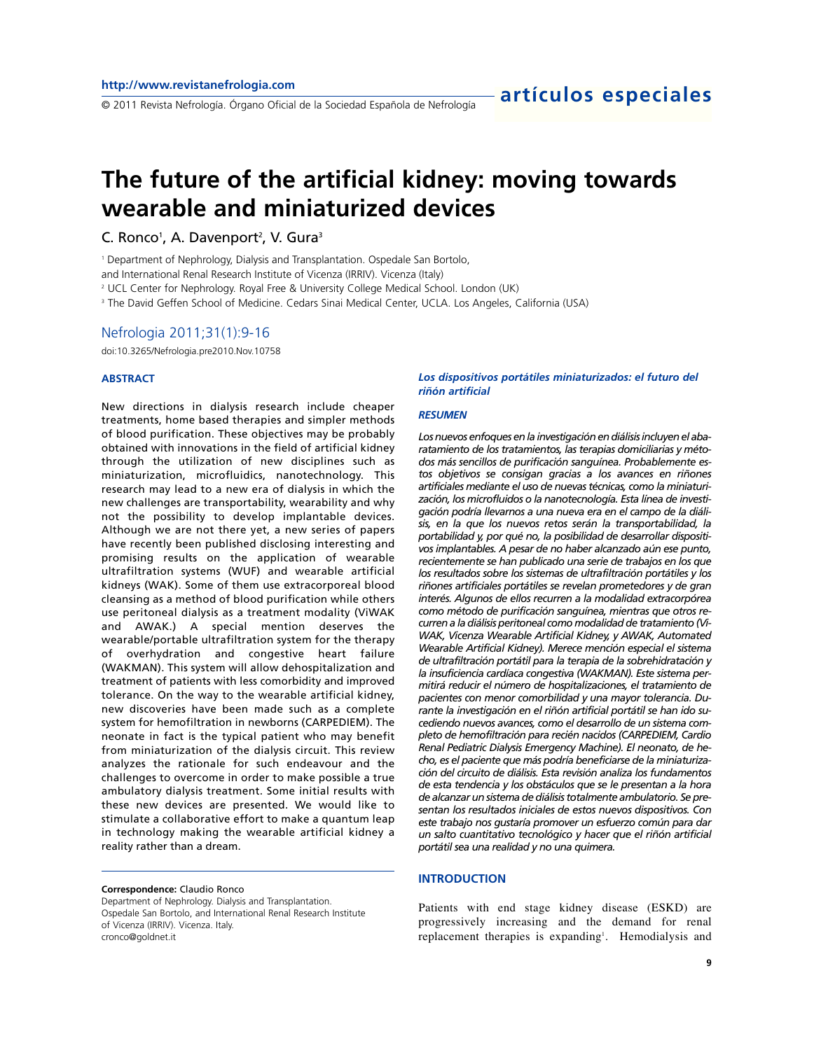# **The future of the artificial kidney: moving towards wearable and miniaturized devices**

C. Ronco<sup>1</sup>, A. Davenport<sup>2</sup>, V. Gura<sup>3</sup>

<sup>1</sup> Department of Nephrology, Dialysis and Transplantation. Ospedale San Bortolo,

and International Renal Research Institute of Vicenza (IRRIV). Vicenza (Italy)

<sup>2</sup> UCL Center for Nephrology. Royal Free & University College Medical School. London (UK)

<sup>3</sup> The David Geffen School of Medicine. Cedars Sinai Medical Center, UCLA. Los Angeles, California (USA)

### Nefrologia 2011;31(1):9-16

doi:10.3265/Nefrologia.pre2010.Nov.10758

### **ABSTRACT**

New directions in dialysis research include cheaper treatments, home based therapies and simpler methods of blood purification. These objectives may be probably obtained with innovations in the field of artificial kidney through the utilization of new disciplines such as miniaturization, microfluidics, nanotechnology. This research may lead to a new era of dialysis in which the new challenges are transportability, wearability and why not the possibility to develop implantable devices. Although we are not there yet, a new series of papers have recently been published disclosing interesting and promising results on the application of wearable ultrafiltration systems (WUF) and wearable artificial kidneys (WAK). Some of them use extracorporeal blood cleansing as a method of blood purification while others use peritoneal dialysis as a treatment modality (ViWAK and AWAK.) A special mention deserves the wearable/portable ultrafiltration system for the therapy of overhydration and congestive heart failure (WAKMAN). This system will allow dehospitalization and treatment of patients with less comorbidity and improved tolerance. On the way to the wearable artificial kidney, new discoveries have been made such as a complete system for hemofiltration in newborns (CARPEDIEM). The neonate in fact is the typical patient who may benefit from miniaturization of the dialysis circuit. This review analyzes the rationale for such endeavour and the challenges to overcome in order to make possible a true ambulatory dialysis treatment. Some initial results with these new devices are presented. We would like to stimulate a collaborative effort to make a quantum leap in technology making the wearable artificial kidney a reality rather than a dream.

#### **Correspondence:** Claudio Ronco

Department of Nephrology. Dialysis and Transplantation. Ospedale San Bortolo, and International Renal Research Institute of Vicenza (IRRIV). Vicenza. Italy. cronco@goldnet.it

### *Los dispositivos portátiles miniaturizados: el futuro del riñón artificial*

#### *RESUMEN*

*Los nuevos enfoques en la investigación en diálisis incluyen el abaratamiento de los tratamientos, las terapias domiciliarias y métodos más sencillos de purificación sanguínea. Probablemente estos objetivos se consigan gracias a los avances en riñones artificiales mediante el uso de nuevas técnicas, como la miniaturización, los microfluidos o la nanotecnología. Esta línea de investigación podría llevarnos a una nueva era en el campo de la diálisis, en la que los nuevos retos serán la transportabilidad, la portabilidad y, por qué no, la posibilidad de desarrollar dispositivos implantables. A pesar de no haber alcanzado aún ese punto, recientemente se han publicado una serie de trabajos en los que los resultados sobre los sistemas de ultrafiltración portátiles y los riñones artificiales portátiles se revelan prometedores y de gran interés. Algunos de ellos recurren a la modalidad extracorpórea como método de purificación sanguínea, mientras que otros recurren a la diálisis peritoneal como modalidad de tratamiento (Vi-WAK, Vicenza Wearable Artificial Kidney, y AWAK, Automated Wearable Artificial Kidney). Merece mención especial el sistema de ultrafiltración portátil para la terapia de la sobrehidratación y la insuficiencia cardíaca congestiva (WAKMAN). Este sistema permitirá reducir el número de hospitalizaciones, el tratamiento de pacientes con menor comorbilidad y una mayor tolerancia. Durante la investigación en el riñón artificial portátil se han ido sucediendo nuevos avances, como el desarrollo de un sistema completo de hemofiltración para recién nacidos (CARPEDIEM, Cardio Renal Pediatric Dialysis Emergency Machine). El neonato, de hecho, es el paciente que más podría beneficiarse de la miniaturización del circuito de diálisis. Esta revisión analiza los fundamentos de esta tendencia y los obstáculos que se le presentan a la hora de alcanzar un sistema de diálisis totalmente ambulatorio. Se presentan los resultados iniciales de estos nuevos dispositivos. Con este trabajo nos gustaría promover un esfuerzo común para dar un salto cuantitativo tecnológico y hacer que el riñón artificial portátil sea una realidad y no una quimera.*

#### **INTRODUCTION**

Patients with end stage kidney disease (ESKD) are progressively increasing and the demand for renal replacement therapies is expanding<sup>1</sup>. Hemodialysis and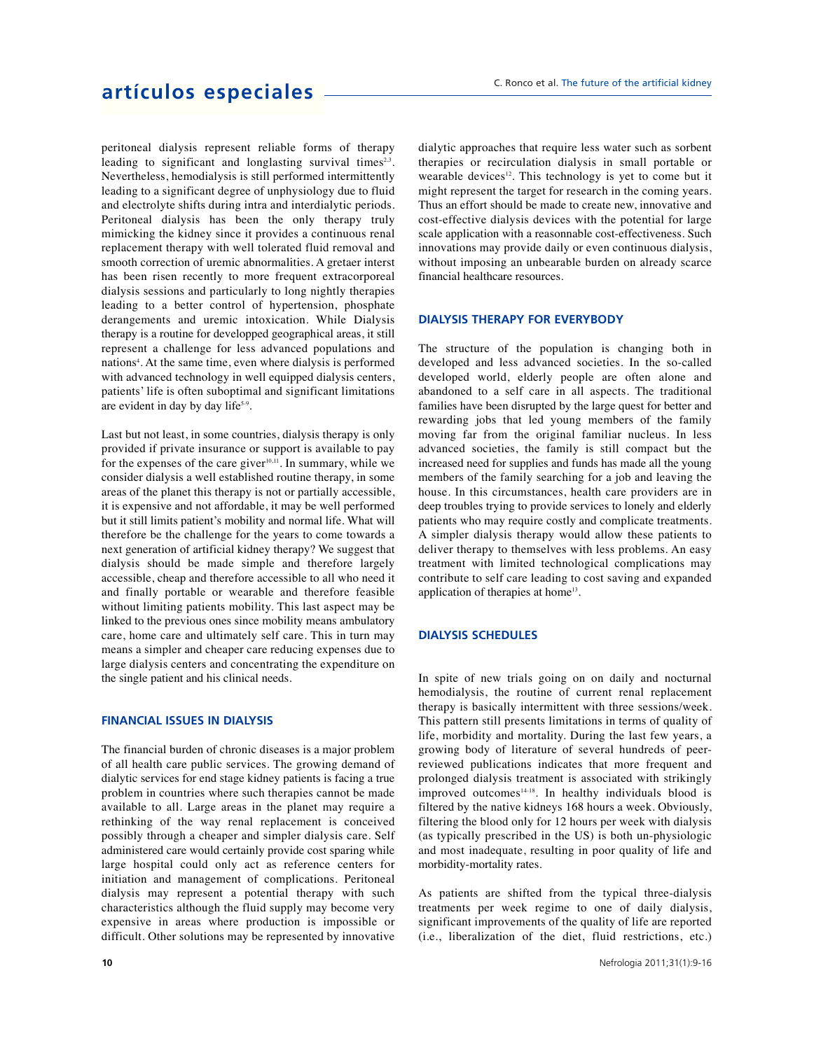peritoneal dialysis represent reliable forms of therapy leading to significant and longlasting survival times<sup>2,3</sup>. Nevertheless, hemodialysis is still performed intermittently leading to a significant degree of unphysiology due to fluid and electrolyte shifts during intra and interdialytic periods. Peritoneal dialysis has been the only therapy truly mimicking the kidney since it provides a continuous renal replacement therapy with well tolerated fluid removal and smooth correction of uremic abnormalities. A gretaer interst has been risen recently to more frequent extracorporeal dialysis sessions and particularly to long nightly therapies leading to a better control of hypertension, phosphate derangements and uremic intoxication. While Dialysis therapy is a routine for developped geographical areas, it still represent a challenge for less advanced populations and nations<sup>4</sup>. At the same time, even where dialysis is performed with advanced technology in well equipped dialysis centers, patients' life is often suboptimal and significant limitations are evident in day by day life5-9 .

Last but not least, in some countries, dialysis therapy is only provided if private insurance or support is available to pay for the expenses of the care giver<sup>10,11</sup>. In summary, while we consider dialysis a well established routine therapy, in some areas of the planet this therapy is not or partially accessible, it is expensive and not affordable, it may be well performed but it still limits patient's mobility and normal life. What will therefore be the challenge for the years to come towards a next generation of artificial kidney therapy? We suggest that dialysis should be made simple and therefore largely accessible, cheap and therefore accessible to all who need it and finally portable or wearable and therefore feasible without limiting patients mobility. This last aspect may be linked to the previous ones since mobility means ambulatory care, home care and ultimately self care. This in turn may means a simpler and cheaper care reducing expenses due to large dialysis centers and concentrating the expenditure on the single patient and his clinical needs.

### **FINANCIAL ISSUES IN DIALYSIS**

The financial burden of chronic diseases is a major problem of all health care public services. The growing demand of dialytic services for end stage kidney patients is facing a true problem in countries where such therapies cannot be made available to all. Large areas in the planet may require a rethinking of the way renal replacement is conceived possibly through a cheaper and simpler dialysis care. Self administered care would certainly provide cost sparing while large hospital could only act as reference centers for initiation and management of complications. Peritoneal dialysis may represent a potential therapy with such characteristics although the fluid supply may become very expensive in areas where production is impossible or difficult. Other solutions may be represented by innovative

dialytic approaches that require less water such as sorbent therapies or recirculation dialysis in small portable or wearable devices $12$ . This technology is yet to come but it might represent the target for research in the coming years. Thus an effort should be made to create new, innovative and cost-effective dialysis devices with the potential for large scale application with a reasonnable cost-effectiveness. Such innovations may provide daily or even continuous dialysis, without imposing an unbearable burden on already scarce financial healthcare resources.

### **DIALYSIS THERAPY FOR EVERYBODY**

The structure of the population is changing both in developed and less advanced societies. In the so-called developed world, elderly people are often alone and abandoned to a self care in all aspects. The traditional families have been disrupted by the large quest for better and rewarding jobs that led young members of the family moving far from the original familiar nucleus. In less advanced societies, the family is still compact but the increased need for supplies and funds has made all the young members of the family searching for a job and leaving the house. In this circumstances, health care providers are in deep troubles trying to provide services to lonely and elderly patients who may require costly and complicate treatments. A simpler dialysis therapy would allow these patients to deliver therapy to themselves with less problems. An easy treatment with limited technological complications may contribute to self care leading to cost saving and expanded application of therapies at home<sup>13</sup>.

### **DIALYSIS SCHEDULES**

In spite of new trials going on on daily and nocturnal hemodialysis, the routine of current renal replacement therapy is basically intermittent with three sessions/week. This pattern still presents limitations in terms of quality of life, morbidity and mortality. During the last few years, a growing body of literature of several hundreds of peerreviewed publications indicates that more frequent and prolonged dialysis treatment is associated with strikingly improved outcomes<sup>14-18</sup>. In healthy individuals blood is filtered by the native kidneys 168 hours a week. Obviously, filtering the blood only for 12 hours per week with dialysis (as typically prescribed in the US) is both un-physiologic and most inadequate, resulting in poor quality of life and morbidity-mortality rates.

As patients are shifted from the typical three-dialysis treatments per week regime to one of daily dialysis, significant improvements of the quality of life are reported (i.e., liberalization of the diet, fluid restrictions, etc.)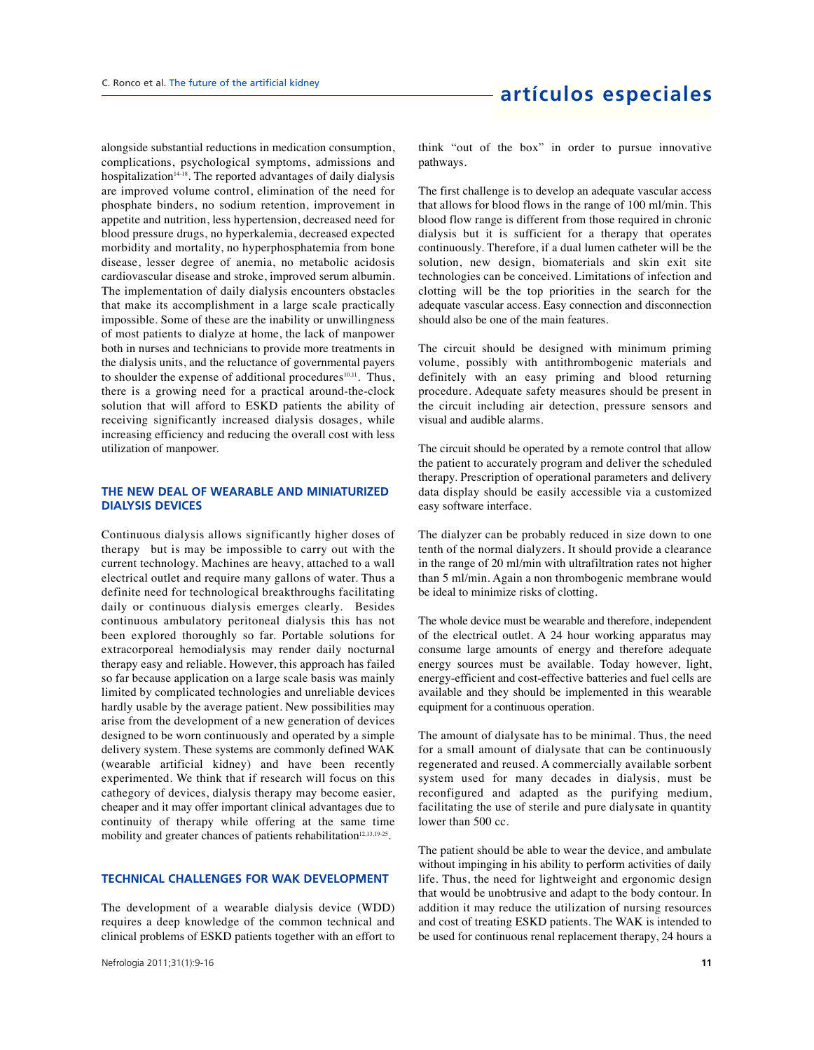alongside substantial reductions in medication consumption, complications, psychological symptoms, admissions and hospitalization $14-18$ . The reported advantages of daily dialysis are improved volume control, elimination of the need for phosphate binders, no sodium retention, improvement in appetite and nutrition, less hypertension, decreased need for blood pressure drugs, no hyperkalemia, decreased expected morbidity and mortality, no hyperphosphatemia from bone disease, lesser degree of anemia, no metabolic acidosis cardiovascular disease and stroke, improved serum albumin. The implementation of daily dialysis encounters obstacles that make its accomplishment in a large scale practically impossible. Some of these are the inability or unwillingness of most patients to dialyze at home, the lack of manpower both in nurses and technicians to provide more treatments in the dialysis units, and the reluctance of governmental payers to shoulder the expense of additional procedures $10,11$ . Thus, there is a growing need for a practical around-the-clock solution that will afford to ESKD patients the ability of receiving significantly increased dialysis dosages, while increasing efficiency and reducing the overall cost with less utilization of manpower.

### **THE NEW DEAL OF WEARABLE AND MINIATURIZED DIALYSIS DEVICES**

Continuous dialysis allows significantly higher doses of therapy but is may be impossible to carry out with the current technology. Machines are heavy, attached to a wall electrical outlet and require many gallons of water. Thus a definite need for technological breakthroughs facilitating daily or continuous dialysis emerges clearly. Besides continuous ambulatory peritoneal dialysis this has not been explored thoroughly so far. Portable solutions for extracorporeal hemodialysis may render daily nocturnal therapy easy and reliable. However, this approach has failed so far because application on a large scale basis was mainly limited by complicated technologies and unreliable devices hardly usable by the average patient. New possibilities may arise from the development of a new generation of devices designed to be worn continuously and operated by a simple delivery system. These systems are commonly defined WAK (wearable artificial kidney) and have been recently experimented. We think that if research will focus on this cathegory of devices, dialysis therapy may become easier, cheaper and it may offer important clinical advantages due to continuity of therapy while offering at the same time mobility and greater chances of patients rehabilitation<sup>12,13,19-25</sup>.

### **TECHNICAL CHALLENGES FOR WAK DEVELOPMENT**

The development of a wearable dialysis device (WDD) requires a deep knowledge of the common technical and clinical problems of ESKD patients together with an effort to think "out of the box" in order to pursue innovative pathways.

The first challenge is to develop an adequate vascular access that allows for blood flows in the range of 100 ml/min. This blood flow range is different from those required in chronic dialysis but it is sufficient for a therapy that operates continuously. Therefore, if a dual lumen catheter will be the solution, new design, biomaterials and skin exit site technologies can be conceived. Limitations of infection and clotting will be the top priorities in the search for the adequate vascular access. Easy connection and disconnection should also be one of the main features.

The circuit should be designed with minimum priming volume, possibly with antithrombogenic materials and definitely with an easy priming and blood returning procedure. Adequate safety measures should be present in the circuit including air detection, pressure sensors and visual and audible alarms.

The circuit should be operated by a remote control that allow the patient to accurately program and deliver the scheduled therapy. Prescription of operational parameters and delivery data display should be easily accessible via a customized easy software interface.

The dialyzer can be probably reduced in size down to one tenth of the normal dialyzers. It should provide a clearance in the range of 20 ml/min with ultrafiltration rates not higher than 5 ml/min. Again a non thrombogenic membrane would be ideal to minimize risks of clotting.

The whole device must be wearable and therefore, independent of the electrical outlet. A 24 hour working apparatus may consume large amounts of energy and therefore adequate energy sources must be available. Today however, light, energy-efficient and cost-effective batteries and fuel cells are available and they should be implemented in this wearable equipment for a continuous operation.

The amount of dialysate has to be minimal. Thus, the need for a small amount of dialysate that can be continuously regenerated and reused. A commercially available sorbent system used for many decades in dialysis, must be reconfigured and adapted as the purifying medium, facilitating the use of sterile and pure dialysate in quantity lower than 500 cc.

The patient should be able to wear the device, and ambulate without impinging in his ability to perform activities of daily life. Thus, the need for lightweight and ergonomic design that would be unobtrusive and adapt to the body contour. In addition it may reduce the utilization of nursing resources and cost of treating ESKD patients. The WAK is intended to be used for continuous renal replacement therapy, 24 hours a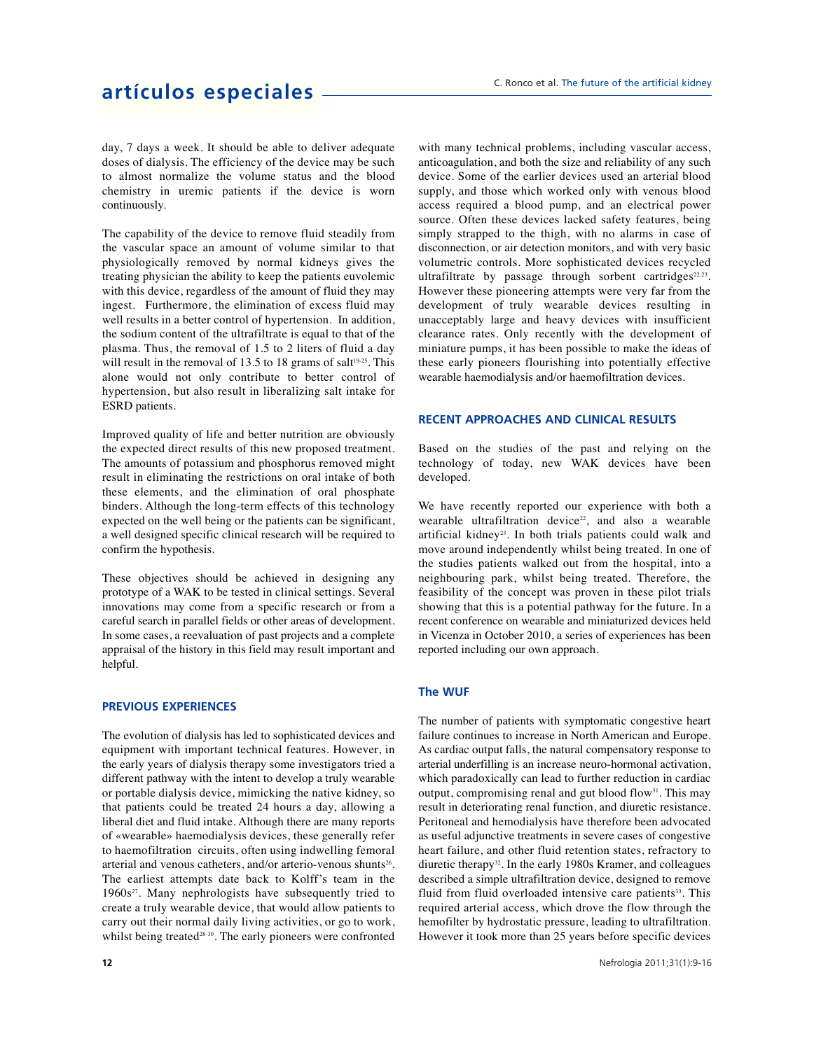day, 7 days a week. It should be able to deliver adequate doses of dialysis. The efficiency of the device may be such to almost normalize the volume status and the blood chemistry in uremic patients if the device is worn continuously.

The capability of the device to remove fluid steadily from the vascular space an amount of volume similar to that physiologically removed by normal kidneys gives the treating physician the ability to keep the patients euvolemic with this device, regardless of the amount of fluid they may ingest. Furthermore, the elimination of excess fluid may well results in a better control of hypertension. In addition, the sodium content of the ultrafiltrate is equal to that of the plasma. Thus, the removal of 1.5 to 2 liters of fluid a day will result in the removal of 13.5 to 18 grams of salt $19-25$ . This alone would not only contribute to better control of hypertension, but also result in liberalizing salt intake for ESRD patients.

Improved quality of life and better nutrition are obviously the expected direct results of this new proposed treatment. The amounts of potassium and phosphorus removed might result in eliminating the restrictions on oral intake of both these elements, and the elimination of oral phosphate binders. Although the long-term effects of this technology expected on the well being or the patients can be significant, a well designed specific clinical research will be required to confirm the hypothesis.

These objectives should be achieved in designing any prototype of a WAK to be tested in clinical settings. Several innovations may come from a specific research or from a careful search in parallel fields or other areas of development. In some cases, a reevaluation of past projects and a complete appraisal of the history in this field may result important and helpful.

### **PREVIOUS EXPERIENCES**

The evolution of dialysis has led to sophisticated devices and equipment with important technical features. However, in the early years of dialysis therapy some investigators tried a different pathway with the intent to develop a truly wearable or portable dialysis device, mimicking the native kidney, so that patients could be treated 24 hours a day, allowing a liberal diet and fluid intake. Although there are many reports of «wearable» haemodialysis devices, these generally refer to haemofiltration circuits, often using indwelling femoral arterial and venous catheters, and/or arterio-venous shunts<sup>26</sup>. The earliest attempts date back to Kolff's team in the  $1960s<sup>27</sup>$ . Many nephrologists have subsequently tried to create a truly wearable device, that would allow patients to carry out their normal daily living activities, or go to work, whilst being treated<sup>28-30</sup>. The early pioneers were confronted with many technical problems, including vascular access, anticoagulation, and both the size and reliability of any such device. Some of the earlier devices used an arterial blood supply, and those which worked only with venous blood access required a blood pump, and an electrical power source. Often these devices lacked safety features, being simply strapped to the thigh, with no alarms in case of disconnection, or air detection monitors, and with very basic volumetric controls. More sophisticated devices recycled ultrafiltrate by passage through sorbent cartridges $22,23$ . However these pioneering attempts were very far from the development of truly wearable devices resulting in unacceptably large and heavy devices with insufficient clearance rates. Only recently with the development of miniature pumps, it has been possible to make the ideas of these early pioneers flourishing into potentially effective wearable haemodialysis and/or haemofiltration devices.

### **RECENT APPROACHES AND CLINICAL RESULTS**

Based on the studies of the past and relying on the technology of today, new WAK devices have been developed.

We have recently reported our experience with both a wearable ultrafiltration device<sup>22</sup>, and also a wearable artificial kidney<sup>23</sup>. In both trials patients could walk and move around independently whilst being treated. In one of the studies patients walked out from the hospital, into a neighbouring park, whilst being treated. Therefore, the feasibility of the concept was proven in these pilot trials showing that this is a potential pathway for the future. In a recent conference on wearable and miniaturized devices held in Vicenza in October 2010, a series of experiences has been reported including our own approach.

### **The WUF**

The number of patients with symptomatic congestive heart failure continues to increase in North American and Europe. As cardiac output falls, the natural compensatory response to arterial underfilling is an increase neuro-hormonal activation, which paradoxically can lead to further reduction in cardiac output, compromising renal and gut blood flow<sup>31</sup>. This may result in deteriorating renal function, and diuretic resistance. Peritoneal and hemodialysis have therefore been advocated as useful adjunctive treatments in severe cases of congestive heart failure, and other fluid retention states, refractory to diuretic therapy<sup>32</sup>. In the early 1980s Kramer, and colleagues described a simple ultrafiltration device, designed to remove fluid from fluid overloaded intensive care patients<sup>33</sup>. This required arterial access, which drove the flow through the hemofilter by hydrostatic pressure, leading to ultrafiltration. However it took more than 25 years before specific devices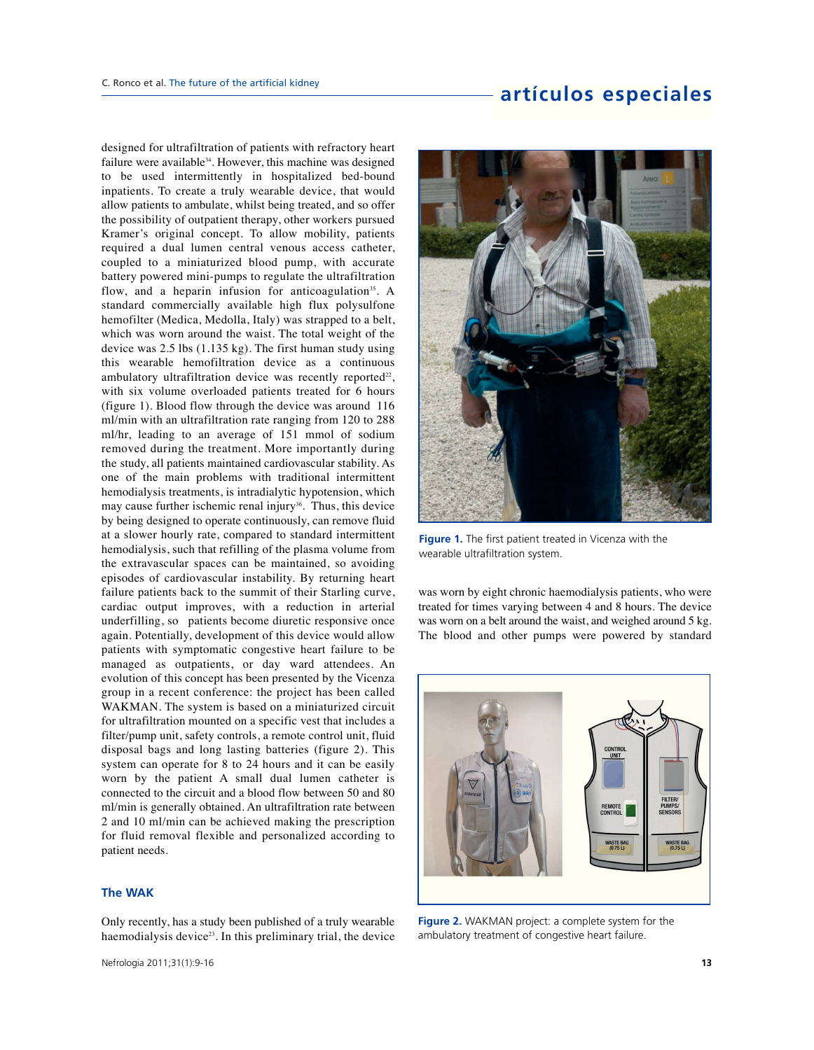designed for ultrafiltration of patients with refractory heart failure were available<sup>34</sup>. However, this machine was designed to be used intermittently in hospitalized bed-bound inpatients. To create a truly wearable device, that would allow patients to ambulate, whilst being treated, and so offer the possibility of outpatient therapy, other workers pursued Kramer's original concept. To allow mobility, patients required a dual lumen central venous access catheter, coupled to a miniaturized blood pump, with accurate battery powered mini-pumps to regulate the ultrafiltration flow, and a heparin infusion for anticoagulation<sup>35</sup>. A standard commercially available high flux polysulfone hemofilter (Medica, Medolla, Italy) was strapped to a belt, which was worn around the waist. The total weight of the device was 2.5 lbs (1.135 kg). The first human study using this wearable hemofiltration device as a continuous ambulatory ultrafiltration device was recently reported $22$ , with six volume overloaded patients treated for 6 hours (figure 1). Blood flow through the device was around 116 ml/min with an ultrafiltration rate ranging from 120 to 288 ml/hr, leading to an average of 151 mmol of sodium removed during the treatment. More importantly during the study, all patients maintained cardiovascular stability. As one of the main problems with traditional intermittent hemodialysis treatments, is intradialytic hypotension, which may cause further ischemic renal injury<sup>36</sup>. Thus, this device by being designed to operate continuously, can remove fluid at a slower hourly rate, compared to standard intermittent hemodialysis, such that refilling of the plasma volume from the extravascular spaces can be maintained, so avoiding episodes of cardiovascular instability. By returning heart failure patients back to the summit of their Starling curve, cardiac output improves, with a reduction in arterial underfilling, so patients become diuretic responsive once again. Potentially, development of this device would allow patients with symptomatic congestive heart failure to be managed as outpatients, or day ward attendees. An evolution of this concept has been presented by the Vicenza group in a recent conference: the project has been called WAKMAN. The system is based on a miniaturized circuit for ultrafiltration mounted on a specific vest that includes a filter/pump unit, safety controls, a remote control unit, fluid disposal bags and long lasting batteries (figure 2). This system can operate for 8 to 24 hours and it can be easily worn by the patient A small dual lumen catheter is connected to the circuit and a blood flow between 50 and 80 ml/min is generally obtained. An ultrafiltration rate between 2 and 10 ml/min can be achieved making the prescription for fluid removal flexible and personalized according to patient needs.

### **The WAK**

Only recently, has a study been published of a truly wearable haemodialysis device<sup>23</sup>. In this preliminary trial, the device



**Figure 1.** The first patient treated in Vicenza with the wearable ultrafiltration system.

was worn by eight chronic haemodialysis patients, who were treated for times varying between 4 and 8 hours. The device was worn on a belt around the waist, and weighed around 5 kg. The blood and other pumps were powered by standard



**Figure 2.** WAKMAN project: a complete system for the ambulatory treatment of congestive heart failure.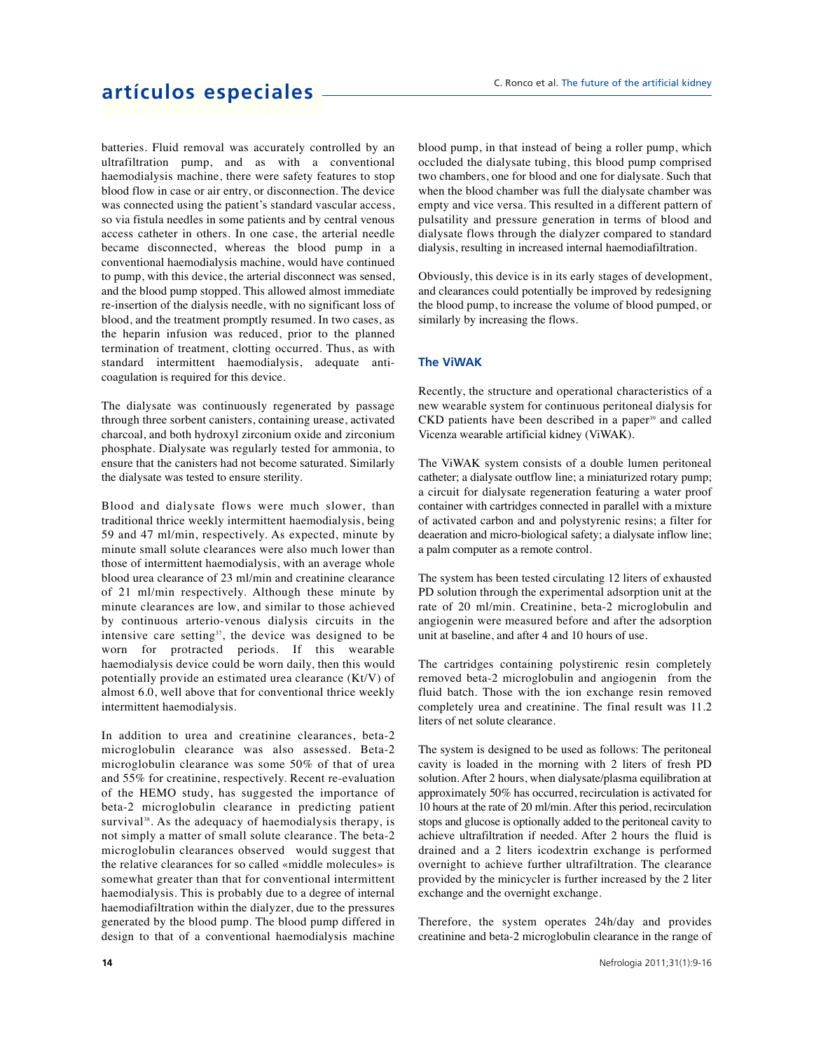batteries. Fluid removal was accurately controlled by an ultrafiltration pump, and as with a conventional haemodialysis machine, there were safety features to stop blood flow in case or air entry, or disconnection. The device was connected using the patient's standard vascular access, so via fistula needles in some patients and by central venous access catheter in others. In one case, the arterial needle became disconnected, whereas the blood pump in a conventional haemodialysis machine, would have continued to pump, with this device, the arterial disconnect was sensed, and the blood pump stopped. This allowed almost immediate re-insertion of the dialysis needle, with no significant loss of blood, and the treatment promptly resumed. In two cases, as the heparin infusion was reduced, prior to the planned termination of treatment, clotting occurred. Thus, as with standard intermittent haemodialysis, adequate anticoagulation is required for this device.

The dialysate was continuously regenerated by passage through three sorbent canisters, containing urease, activated charcoal, and both hydroxyl zirconium oxide and zirconium phosphate. Dialysate was regularly tested for ammonia, to ensure that the canisters had not become saturated. Similarly the dialysate was tested to ensure sterility.

Blood and dialysate flows were much slower, than traditional thrice weekly intermittent haemodialysis, being 59 and 47 ml/min, respectively. As expected, minute by minute small solute clearances were also much lower than those of intermittent haemodialysis, with an average whole blood urea clearance of 23 ml/min and creatinine clearance of 21 ml/min respectively. Although these minute by minute clearances are low, and similar to those achieved by continuous arterio-venous dialysis circuits in the intensive care setting<sup>37</sup>, the device was designed to be worn for protracted periods. If this wearable haemodialysis device could be worn daily, then this would potentially provide an estimated urea clearance (Kt/V) of almost 6.0, well above that for conventional thrice weekly intermittent haemodialysis.

In addition to urea and creatinine clearances, beta-2 microglobulin clearance was also assessed. Beta-2 microglobulin clearance was some 50% of that of urea and 55% for creatinine, respectively. Recent re-evaluation of the HEMO study, has suggested the importance of beta-2 microglobulin clearance in predicting patient survival<sup>38</sup>. As the adequacy of haemodialysis therapy, is not simply a matter of small solute clearance. The beta-2 microglobulin clearances observed would suggest that the relative clearances for so called «middle molecules» is somewhat greater than that for conventional intermittent haemodialysis. This is probably due to a degree of internal haemodiafiltration within the dialyzer, due to the pressures generated by the blood pump. The blood pump differed in design to that of a conventional haemodialysis machine blood pump, in that instead of being a roller pump, which occluded the dialysate tubing, this blood pump comprised two chambers, one for blood and one for dialysate. Such that when the blood chamber was full the dialysate chamber was empty and vice versa. This resulted in a different pattern of pulsatility and pressure generation in terms of blood and dialysate flows through the dialyzer compared to standard dialysis, resulting in increased internal haemodiafiltration.

Obviously, this device is in its early stages of development, and clearances could potentially be improved by redesigning the blood pump, to increase the volume of blood pumped, or similarly by increasing the flows.

### **The ViWAK**

Recently, the structure and operational characteristics of a new wearable system for continuous peritoneal dialysis for  $CKD$  patients have been described in a paper $39$  and called Vicenza wearable artificial kidney (ViWAK).

The ViWAK system consists of a double lumen peritoneal catheter; a dialysate outflow line; a miniaturized rotary pump; a circuit for dialysate regeneration featuring a water proof container with cartridges connected in parallel with a mixture of activated carbon and and polystyrenic resins; a filter for deaeration and micro-biological safety; a dialysate inflow line; a palm computer as a remote control.

The system has been tested circulating 12 liters of exhausted PD solution through the experimental adsorption unit at the rate of 20 ml/min. Creatinine, beta-2 microglobulin and angiogenin were measured before and after the adsorption unit at baseline, and after 4 and 10 hours of use.

The cartridges containing polystirenic resin completely removed beta-2 microglobulin and angiogenin from the fluid batch. Those with the ion exchange resin removed completely urea and creatinine. The final result was 11.2 liters of net solute clearance.

The system is designed to be used as follows: The peritoneal cavity is loaded in the morning with 2 liters of fresh PD solution. After 2 hours, when dialysate/plasma equilibration at approximately 50% has occurred, recirculation is activated for 10 hours at the rate of 20 ml/min. After this period, recirculation stops and glucose is optionally added to the peritoneal cavity to achieve ultrafiltration if needed. After 2 hours the fluid is drained and a 2 liters icodextrin exchange is performed overnight to achieve further ultrafiltration. The clearance provided by the minicycler is further increased by the 2 liter exchange and the overnight exchange.

Therefore, the system operates 24h/day and provides creatinine and beta-2 microglobulin clearance in the range of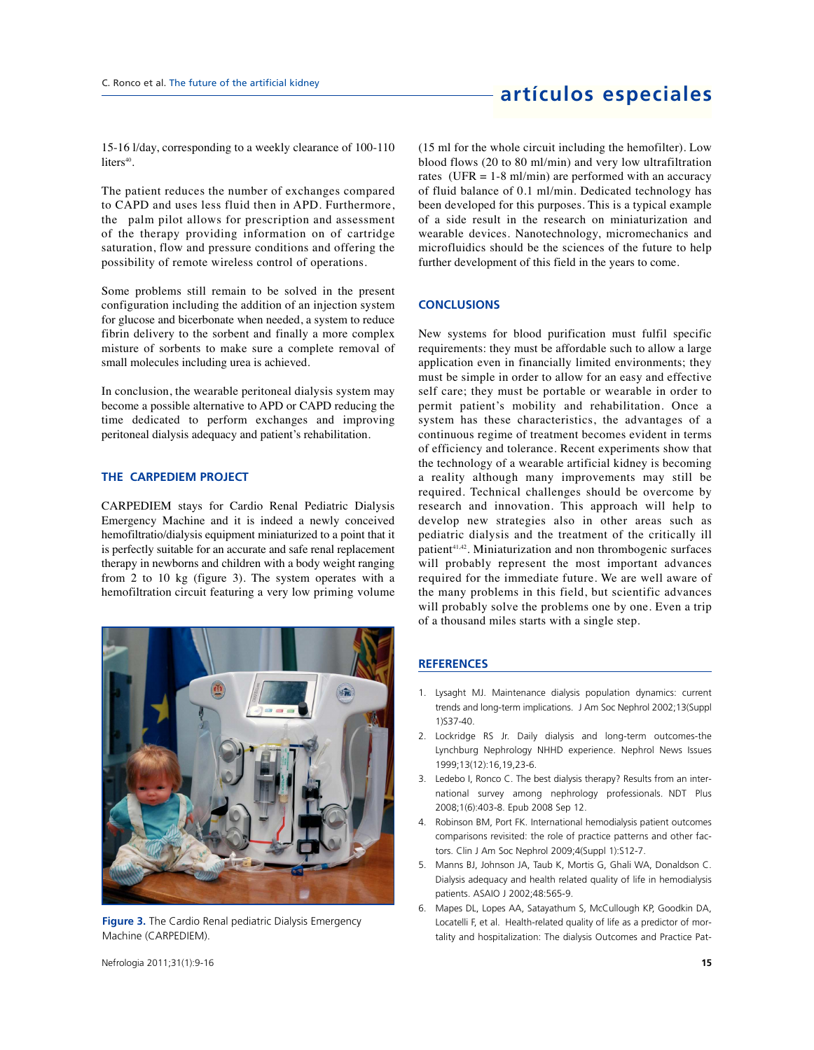15-16 l/day, corresponding to a weekly clearance of 100-110  $\text{liters}^{40}$ .

The patient reduces the number of exchanges compared to CAPD and uses less fluid then in APD. Furthermore, the palm pilot allows for prescription and assessment of the therapy providing information on of cartridge saturation, flow and pressure conditions and offering the possibility of remote wireless control of operations.

Some problems still remain to be solved in the present configuration including the addition of an injection system for glucose and bicerbonate when needed, a system to reduce fibrin delivery to the sorbent and finally a more complex misture of sorbents to make sure a complete removal of small molecules including urea is achieved.

In conclusion, the wearable peritoneal dialysis system may become a possible alternative to APD or CAPD reducing the time dedicated to perform exchanges and improving peritoneal dialysis adequacy and patient's rehabilitation.

### **THE CARPEDIEM PROJECT**

CARPEDIEM stays for Cardio Renal Pediatric Dialysis Emergency Machine and it is indeed a newly conceived hemofiltratio/dialysis equipment miniaturized to a point that it is perfectly suitable for an accurate and safe renal replacement therapy in newborns and children with a body weight ranging from 2 to 10 kg (figure 3). The system operates with a hemofiltration circuit featuring a very low priming volume



**Figure 3.** The Cardio Renal pediatric Dialysis Emergency Machine (CARPEDIEM).

(15 ml for the whole circuit including the hemofilter). Low blood flows (20 to 80 ml/min) and very low ultrafiltration rates (UFR  $= 1-8$  ml/min) are performed with an accuracy of fluid balance of 0.1 ml/min. Dedicated technology has been developed for this purposes. This is a typical example of a side result in the research on miniaturization and wearable devices. Nanotechnology, micromechanics and microfluidics should be the sciences of the future to help further development of this field in the years to come.

### **CONCLUSIONS**

New systems for blood purification must fulfil specific requirements: they must be affordable such to allow a large application even in financially limited environments; they must be simple in order to allow for an easy and effective self care; they must be portable or wearable in order to permit patient's mobility and rehabilitation. Once a system has these characteristics, the advantages of a continuous regime of treatment becomes evident in terms of efficiency and tolerance. Recent experiments show that the technology of a wearable artificial kidney is becoming a reality although many improvements may still be required. Technical challenges should be overcome by research and innovation. This approach will help to develop new strategies also in other areas such as pediatric dialysis and the treatment of the critically ill patient<sup>41,42</sup>. Miniaturization and non thrombogenic surfaces will probably represent the most important advances required for the immediate future. We are well aware of the many problems in this field, but scientific advances will probably solve the problems one by one. Even a trip of a thousand miles starts with a single step.

### **REFERENCES**

- 1. Lysaght MJ. Maintenance dialysis population dynamics: current trends and long-term implications. J Am Soc Nephrol 2002;13(Suppl 1)S37-40.
- 2. Lockridge RS Jr. Daily dialysis and long-term outcomes-the Lynchburg Nephrology NHHD experience. Nephrol News Issues 1999;13(12):16,19,23-6.
- 3. Ledebo I, Ronco C. The best dialysis therapy? Results from an international survey among nephrology professionals. NDT Plus 2008;1(6):403-8. Epub 2008 Sep 12.
- 4. Robinson BM, Port FK. International hemodialysis patient outcomes comparisons revisited: the role of practice patterns and other factors. Clin J Am Soc Nephrol 2009;4(Suppl 1):S12-7.
- 5. Manns BJ, Johnson JA, Taub K, Mortis G, Ghali WA, Donaldson C. Dialysis adequacy and health related quality of life in hemodialysis patients. ASAIO J 2002;48:565-9.
- 6. Mapes DL, Lopes AA, Satayathum S, McCullough KP, Goodkin DA, Locatelli F, et al. Health-related quality of life as a predictor of mortality and hospitalization: The dialysis Outcomes and Practice Pat-